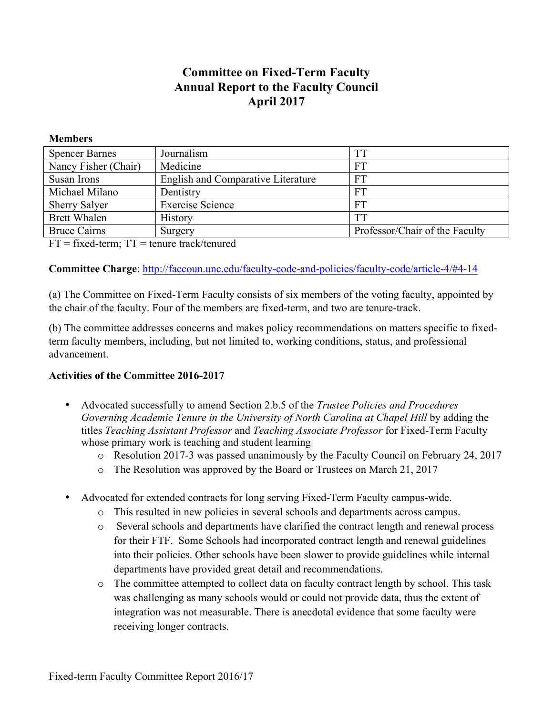# **Committee on Fixed-Term Faculty Annual Report to the Faculty Council April 2017**

#### **Members**

| <b>Spencer Barnes</b> | Journalism                                | TT                             |
|-----------------------|-------------------------------------------|--------------------------------|
| Nancy Fisher (Chair)  | Medicine                                  | FT                             |
| Susan Irons           | <b>English and Comparative Literature</b> | FT                             |
| Michael Milano        | Dentistry                                 | FT                             |
| <b>Sherry Salyer</b>  | <b>Exercise Science</b>                   | FT                             |
| <b>Brett Whalen</b>   | <b>History</b>                            | TT                             |
| <b>Bruce Cairns</b>   | Surgery                                   | Professor/Chair of the Faculty |

 $FT = fixed-term$ ;  $TT = t$ enure track/tenured

## **Committee Charge**: <http://faccoun.unc.edu/faculty-code-and-policies/faculty-code/article-4/#4-14>

(a) The Committee on Fixed-Term Faculty consists of six members of the voting faculty, appointed by the chair of the faculty. Four of the members are fixed-term, and two are tenure-track.

(b) The committee addresses concerns and makes policy recommendations on matters specific to fixedterm faculty members, including, but not limited to, working conditions, status, and professional advancement.

## **Activities of the Committee 2016-2017**

- Advocated successfully to amend Section 2.b.5 of the *Trustee Policies and Procedures Governing Academic Tenure in the University of North Carolina at Chapel Hill* by adding the titles *Teaching Assistant Professor* and *Teaching Associate Professor* for Fixed-Term Faculty whose primary work is teaching and student learning
	- o Resolution 2017-3 was passed unanimously by the Faculty Council on February 24, 2017
	- o The Resolution was approved by the Board or Trustees on March 21, 2017
- Advocated for extended contracts for long serving Fixed-Term Faculty campus-wide.
	- o This resulted in new policies in several schools and departments across campus.
	- o Several schools and departments have clarified the contract length and renewal process for their FTF. Some Schools had incorporated contract length and renewal guidelines into their policies. Other schools have been slower to provide guidelines while internal departments have provided great detail and recommendations.
	- o The committee attempted to collect data on faculty contract length by school. This task was challenging as many schools would or could not provide data, thus the extent of integration was not measurable. There is anecdotal evidence that some faculty were receiving longer contracts.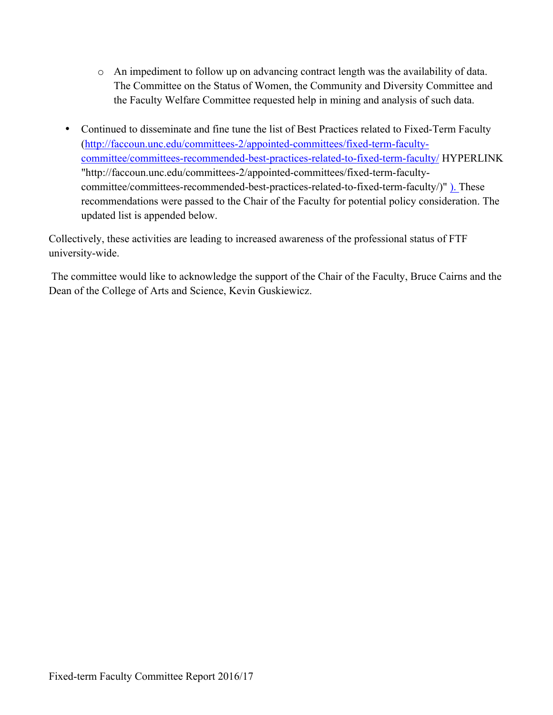- o An impediment to follow up on advancing contract length was the availability of data. The Committee on the Status of Women, the Community and Diversity Committee and the Faculty Welfare Committee requested help in mining and analysis of such data.
- Continued to disseminate and fine tune the list of Best Practices related to Fixed-Term Faculty ([http://faccoun.unc.edu/committees-2/appointed-committees/fixed-term-faculty](http://faccoun.unc.edu/committees-2/appointed-committees/fixed-term-faculty-committee/committees-recommended-best-practices-related-to-fixed-term-faculty/)[committee/committees-recommended-best-practices-related-to-fixed-term-faculty/](http://faccoun.unc.edu/committees-2/appointed-committees/fixed-term-faculty-committee/committees-recommended-best-practices-related-to-fixed-term-faculty/) HYPERLINK "http://faccoun.unc.edu/committees-2/appointed-committees/fixed-term-facultycommittee/committees-recommended-best-practices-related-to-fixed-term-faculty/)" ). These recommendations were passed to the Chair of the Faculty for potential policy consideration. The updated list is appended below.

Collectively, these activities are leading to increased awareness of the professional status of FTF university-wide.

The committee would like to acknowledge the support of the Chair of the Faculty, Bruce Cairns and the Dean of the College of Arts and Science, Kevin Guskiewicz.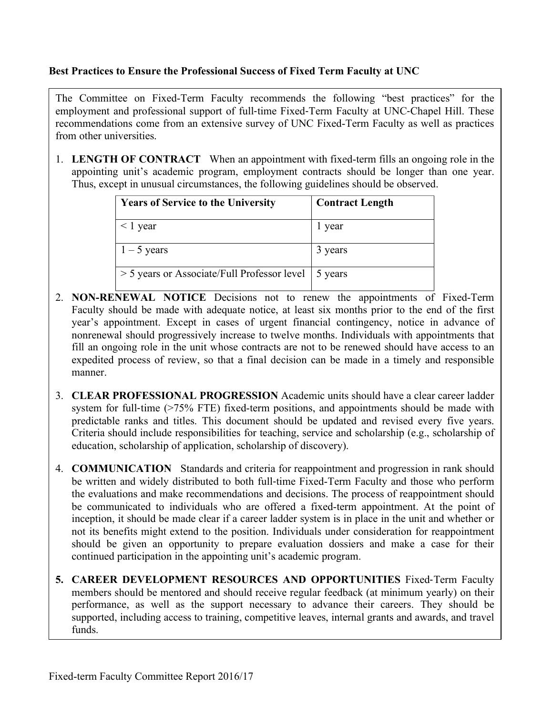#### **Best Practices to Ensure the Professional Success of Fixed Term Faculty at UNC**

The Committee on Fixed-Term Faculty recommends the following "best practices" for the employment and professional support of full-time Fixed-Term Faculty at UNC-Chapel Hill. These recommendations come from an extensive survey of UNC Fixed-Term Faculty as well as practices from other universities.

1. **LENGTH OF CONTRACT** When an appointment with fixed-term fills an ongoing role in the appointing unit's academic program, employment contracts should be longer than one year. Thus, except in unusual circumstances, the following guidelines should be observed.

| <b>Years of Service to the University</b>             | <b>Contract Length</b> |
|-------------------------------------------------------|------------------------|
| $\leq$ 1 year                                         | l year                 |
| $1 - 5$ years                                         | 3 years                |
| > 5 years or Associate/Full Professor level   5 years |                        |

- 2. **NON-RENEWAL NOTICE** Decisions not to renew the appointments of Fixed-Term Faculty should be made with adequate notice, at least six months prior to the end of the first year's appointment. Except in cases of urgent financial contingency, notice in advance of nonrenewal should progressively increase to twelve months. Individuals with appointments that fill an ongoing role in the unit whose contracts are not to be renewed should have access to an expedited process of review, so that a final decision can be made in a timely and responsible manner.
- 3. **CLEAR PROFESSIONAL PROGRESSION** Academic units should have a clear career ladder system for full-time (>75% FTE) fixed-term positions, and appointments should be made with predictable ranks and titles. This document should be updated and revised every five years. Criteria should include responsibilities for teaching, service and scholarship (e.g., scholarship of education, scholarship of application, scholarship of discovery).
- 4. **COMMUNICATION** Standards and criteria for reappointment and progression in rank should be written and widely distributed to both full-time Fixed-Term Faculty and those who perform the evaluations and make recommendations and decisions. The process of reappointment should be communicated to individuals who are offered a fixed-term appointment. At the point of inception, it should be made clear if a career ladder system is in place in the unit and whether or not its benefits might extend to the position. Individuals under consideration for reappointment should be given an opportunity to prepare evaluation dossiers and make a case for their continued participation in the appointing unit's academic program.
- **5. CAREER DEVELOPMENT RESOURCES AND OPPORTUNITIES** Fixed-Term Faculty members should be mentored and should receive regular feedback (at minimum yearly) on their performance, as well as the support necessary to advance their careers. They should be supported, including access to training, competitive leaves, internal grants and awards, and travel funds.